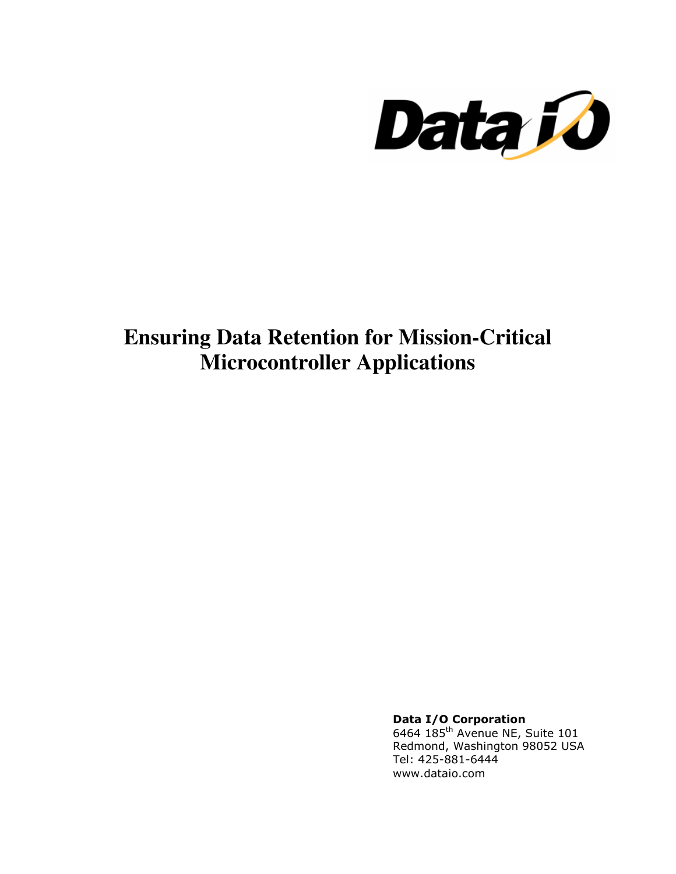

# **Ensuring Data Retention for Mission-Critical Microcontroller Applications**

Data I/O Corporation

6464 185<sup>th</sup> Avenue NE, Suite 101 Redmond, Washington 98052 USA Tel: 425-881-6444 www.dataio.com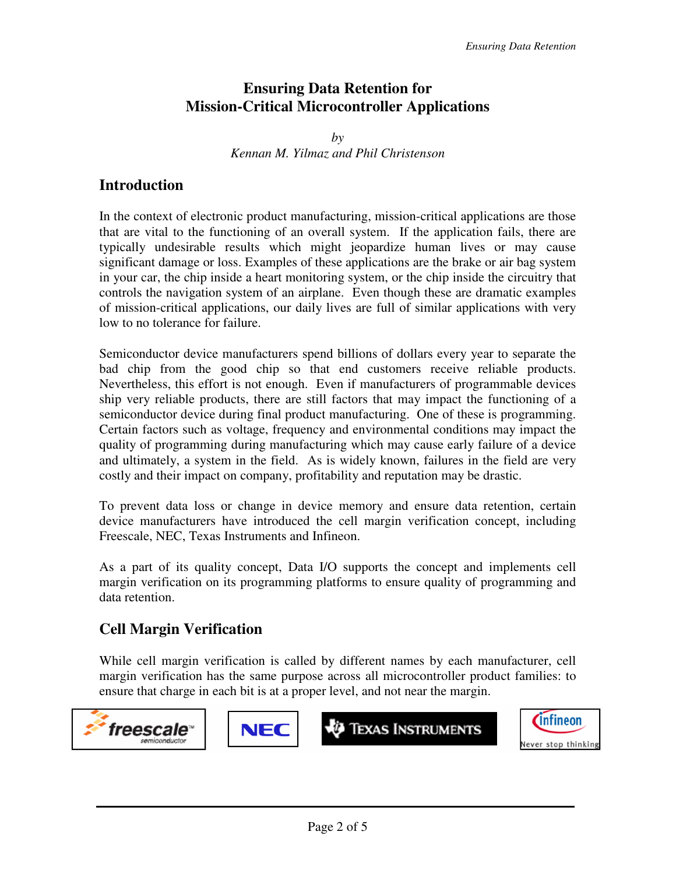#### **Ensuring Data Retention for Mission-Critical Microcontroller Applications**

*by Kennan M. Yilmaz and Phil Christenson* 

#### **Introduction**

In the context of electronic product manufacturing, mission-critical applications are those that are vital to the functioning of an overall system. If the application fails, there are typically undesirable results which might jeopardize human lives or may cause significant damage or loss. Examples of these applications are the brake or air bag system in your car, the chip inside a heart monitoring system, or the chip inside the circuitry that controls the navigation system of an airplane. Even though these are dramatic examples of mission-critical applications, our daily lives are full of similar applications with very low to no tolerance for failure.

Semiconductor device manufacturers spend billions of dollars every year to separate the bad chip from the good chip so that end customers receive reliable products. Nevertheless, this effort is not enough. Even if manufacturers of programmable devices ship very reliable products, there are still factors that may impact the functioning of a semiconductor device during final product manufacturing. One of these is programming. Certain factors such as voltage, frequency and environmental conditions may impact the quality of programming during manufacturing which may cause early failure of a device and ultimately, a system in the field. As is widely known, failures in the field are very costly and their impact on company, profitability and reputation may be drastic.

To prevent data loss or change in device memory and ensure data retention, certain device manufacturers have introduced the cell margin verification concept, including Freescale, NEC, Texas Instruments and Infineon.

As a part of its quality concept, Data I/O supports the concept and implements cell margin verification on its programming platforms to ensure quality of programming and data retention.

## **Cell Margin Verification**

While cell margin verification is called by different names by each manufacturer, cell margin verification has the same purpose across all microcontroller product families: to ensure that charge in each bit is at a proper level, and not near the margin.

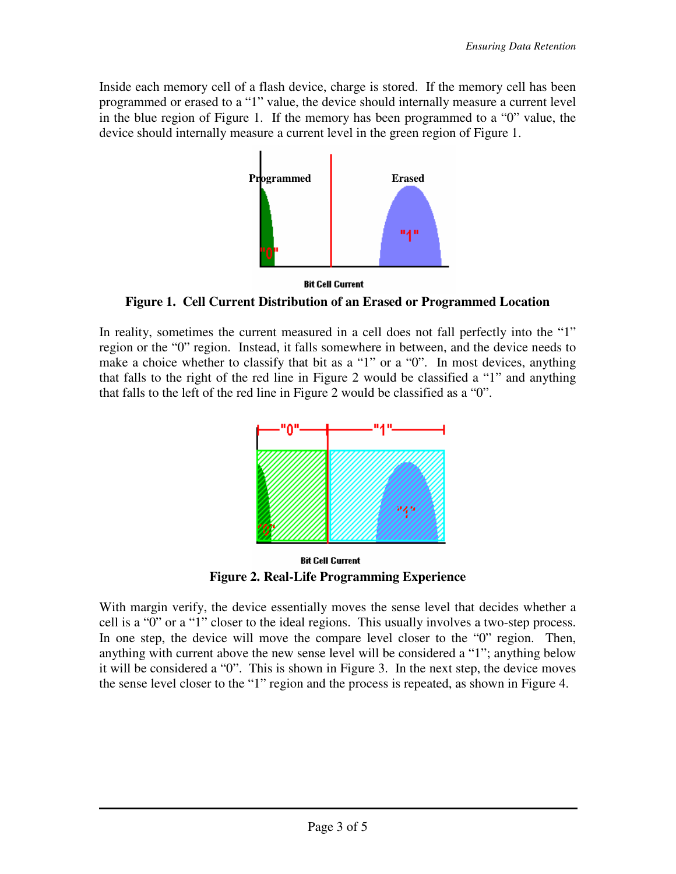Inside each memory cell of a flash device, charge is stored. If the memory cell has been programmed or erased to a "1" value, the device should internally measure a current level in the blue region of Figure 1. If the memory has been programmed to a "0" value, the device should internally measure a current level in the green region of Figure 1.



**Bit Cell Current** 

**Figure 1. Cell Current Distribution of an Erased or Programmed Location**

In reality, sometimes the current measured in a cell does not fall perfectly into the "1" region or the "0" region. Instead, it falls somewhere in between, and the device needs to make a choice whether to classify that bit as a "1" or a "0". In most devices, anything that falls to the right of the red line in Figure 2 would be classified a "1" and anything that falls to the left of the red line in Figure 2 would be classified as a "0".



**Bit Cell Current Figure 2. Real-Life Programming Experience** 

With margin verify, the device essentially moves the sense level that decides whether a cell is a "0" or a "1" closer to the ideal regions. This usually involves a two-step process. In one step, the device will move the compare level closer to the "0" region. Then, anything with current above the new sense level will be considered a "1"; anything below it will be considered a "0". This is shown in Figure 3. In the next step, the device moves the sense level closer to the "1" region and the process is repeated, as shown in Figure 4.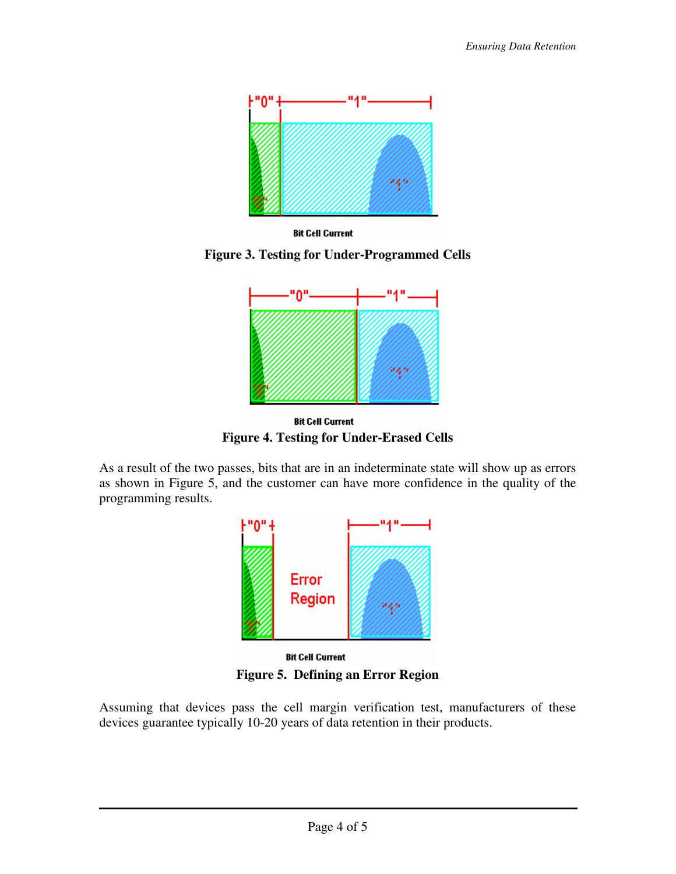

**Bit Cell Current** 

**Figure 3. Testing for Under-Programmed Cells** 



**Bit Cell Current Figure 4. Testing for Under-Erased Cells** 

As a result of the two passes, bits that are in an indeterminate state will show up as errors as shown in Figure 5, and the customer can have more confidence in the quality of the programming results.



**Figure 5. Defining an Error Region** 

Assuming that devices pass the cell margin verification test, manufacturers of these devices guarantee typically 10-20 years of data retention in their products.